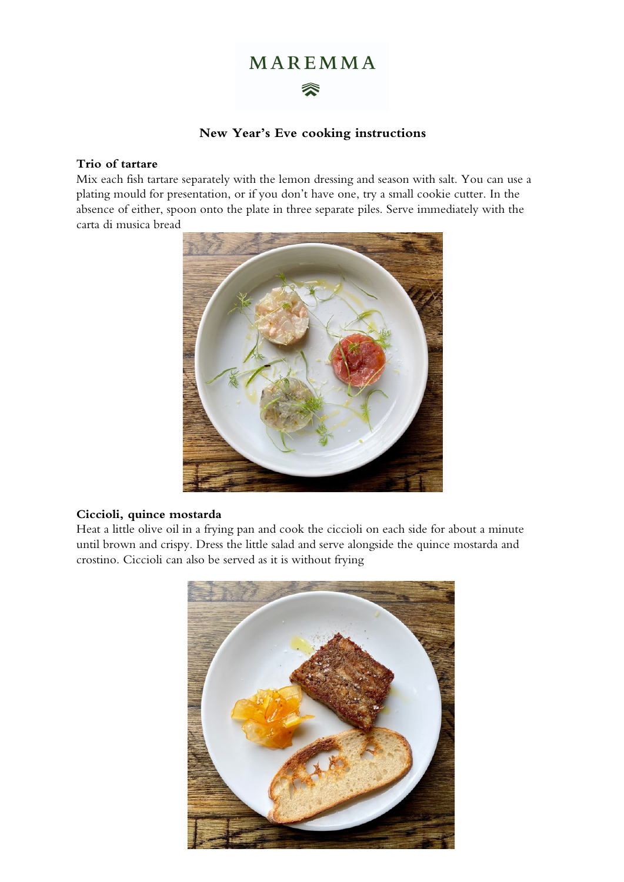# MAREMMA

# 《

# **New Year's Eve cooking instructions**

#### **Trio of tartare**

Mix each fish tartare separately with the lemon dressing and season with salt. You can use a plating mould for presentation, or if you don't have one, try a small cookie cutter. In the absence of either, spoon onto the plate in three separate piles. Serve immediately with the carta di musica bread



#### **Ciccioli, quince mostarda**

Heat a little olive oil in a frying pan and cook the ciccioli on each side for about a minute until brown and crispy. Dress the little salad and serve alongside the quince mostarda and crostino. Ciccioli can also be served as it is without frying

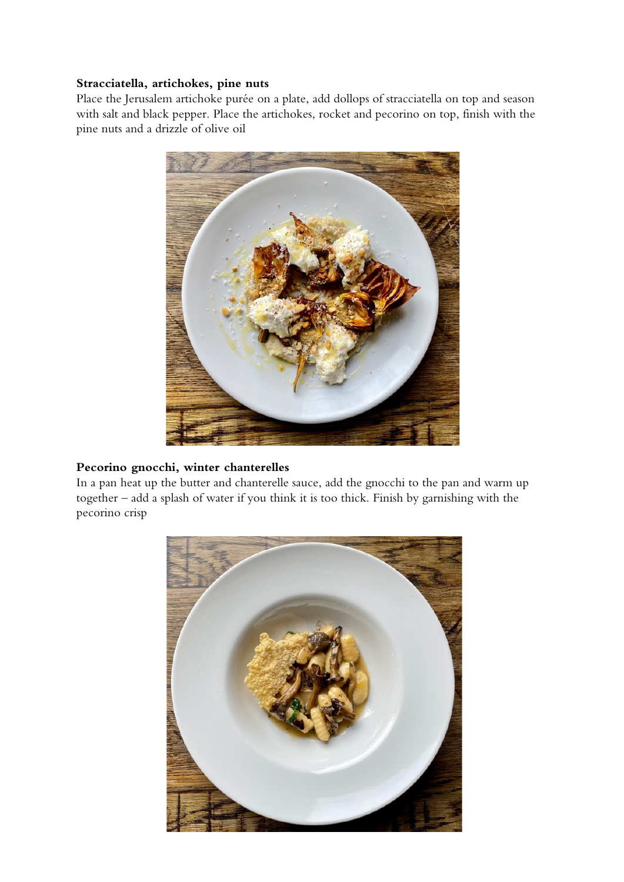#### **Stracciatella, artichokes, pine nuts**

Place the Jerusalem artichoke purée on a plate, add dollops of stracciatella on top and season with salt and black pepper. Place the artichokes, rocket and pecorino on top, finish with the pine nuts and a drizzle of olive oil



# **Pecorino gnocchi, winter chanterelles**

In a pan heat up the butter and chanterelle sauce, add the gnocchi to the pan and warm up together – add a splash of water if you think it is too thick. Finish by garnishing with the pecorino crisp

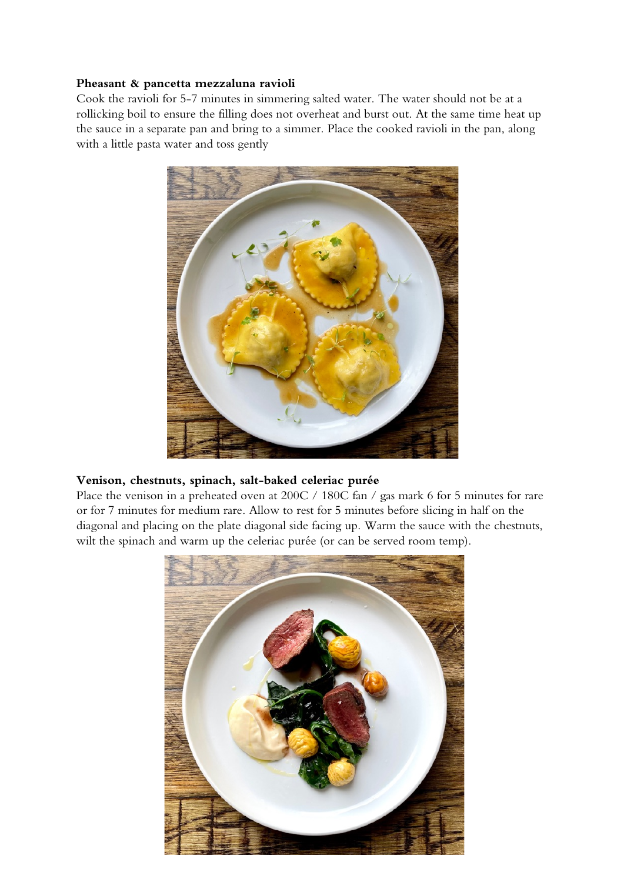#### **Pheasant & pancetta mezzaluna ravioli**

Cook the ravioli for 5-7 minutes in simmering salted water. The water should not be at a rollicking boil to ensure the filling does not overheat and burst out. At the same time heat up the sauce in a separate pan and bring to a simmer. Place the cooked ravioli in the pan, along with a little pasta water and toss gently



#### **Venison, chestnuts, spinach, salt-baked celeriac purée**

Place the venison in a preheated oven at 200C / 180C fan / gas mark 6 for 5 minutes for rare or for 7 minutes for medium rare. Allow to rest for 5 minutes before slicing in half on the diagonal and placing on the plate diagonal side facing up. Warm the sauce with the chestnuts, wilt the spinach and warm up the celeriac purée (or can be served room temp).

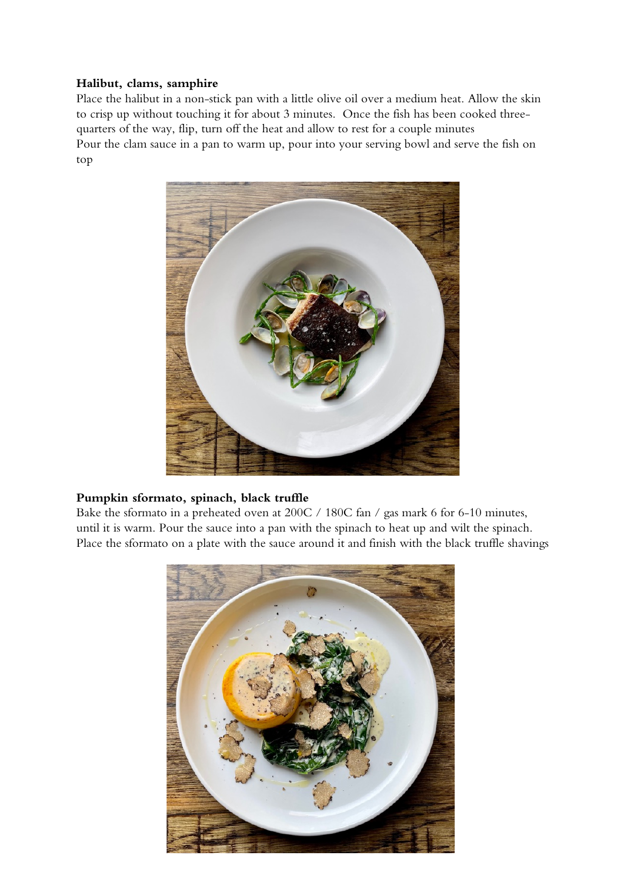#### **Halibut, clams, samphire**

Place the halibut in a non-stick pan with a little olive oil over a medium heat. Allow the skin to crisp up without touching it for about 3 minutes. Once the fish has been cooked threequarters of the way, flip, turn off the heat and allow to rest for a couple minutes Pour the clam sauce in a pan to warm up, pour into your serving bowl and serve the fish on top



# **Pumpkin sformato, spinach, black truffle**

Bake the sformato in a preheated oven at 200C / 180C fan / gas mark 6 for 6-10 minutes, until it is warm. Pour the sauce into a pan with the spinach to heat up and wilt the spinach. Place the sformato on a plate with the sauce around it and finish with the black truffle shavings